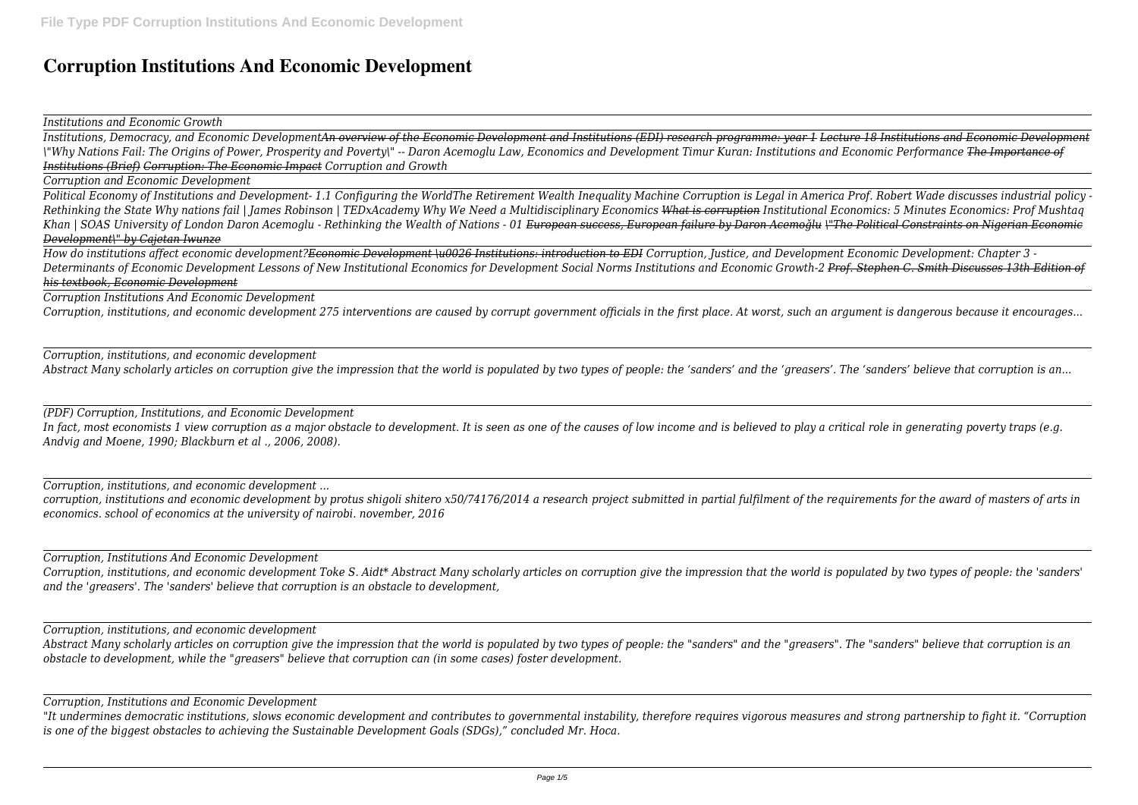## **Corruption Institutions And Economic Development**

*Institutions and Economic Growth*

*Institutions, Democracy, and Economic DevelopmentAn overview of the Economic Development and Institutions (EDI) research programme: year 1 Lecture 18 Institutions and Economic Development \"Why Nations Fail: The Origins of Power, Prosperity and Poverty\" -- Daron Acemoglu Law, Economics and Development Timur Kuran: Institutions and Economic Performance The Importance of Institutions (Brief) Corruption: The Economic Impact Corruption and Growth* 

*Corruption and Economic Development*

*Political Economy of Institutions and Development- 1.1 Configuring the WorldThe Retirement Wealth Inequality Machine Corruption is Legal in America Prof. Robert Wade discusses industrial policy - Rethinking the State Why nations fail | James Robinson | TEDxAcademy Why We Need a Multidisciplinary Economics What is corruption Institutional Economics: 5 Minutes Economics: Prof Mushtaq Khan | SOAS University of London Daron Acemoglu - Rethinking the Wealth of Nations - 01 European success, European failure by Daron Acemoǧlu \"The Political Constraints on Nigerian Economic Development\" by Cajetan Iwunze*

*How do institutions affect economic development?Economic Development \u0026 Institutions: introduction to EDI Corruption, Justice, and Development Economic Development: Chapter 3 - Determinants of Economic Development Lessons of New Institutional Economics for Development Social Norms Institutions and Economic Growth-2 Prof. Stephen C. Smith Discusses 13th Edition of his textbook, Economic Development*

*Corruption Institutions And Economic Development*

*Corruption, institutions, and economic development 275 interventions are caused by corrupt government officials in the first place. At worst, such an argument is dangerous because it encourages...*

*Corruption, institutions, and economic development Abstract Many scholarly articles on corruption give the impression that the world is populated by two types of people: the 'sanders' and the 'greasers'. The 'sanders' believe that corruption is an...*

*(PDF) Corruption, Institutions, and Economic Development In fact, most economists 1 view corruption as a major obstacle to development. It is seen as one of the causes of low income and is believed to play a critical role in generating poverty traps (e.g. Andvig and Moene, 1990; Blackburn et al ., 2006, 2008).*

*Corruption, institutions, and economic development ...*

*corruption, institutions and economic development by protus shigoli shitero x50/74176/2014 a research project submitted in partial fulfilment of the requirements for the award of masters of arts in economics. school of economics at the university of nairobi. november, 2016*

*Corruption, Institutions And Economic Development*

*Corruption, institutions, and economic development Toke S. Aidt\* Abstract Many scholarly articles on corruption give the impression that the world is populated by two types of people: the 'sanders' and the 'greasers'. The 'sanders' believe that corruption is an obstacle to development,*

*Corruption, institutions, and economic development*

*Abstract Many scholarly articles on corruption give the impression that the world is populated by two types of people: the "sanders" and the "greasers". The "sanders" believe that corruption is an obstacle to development, while the "greasers" believe that corruption can (in some cases) foster development.*

*Corruption, Institutions and Economic Development*

*"It undermines democratic institutions, slows economic development and contributes to governmental instability, therefore requires vigorous measures and strong partnership to fight it. "Corruption is one of the biggest obstacles to achieving the Sustainable Development Goals (SDGs)," concluded Mr. Hoca.*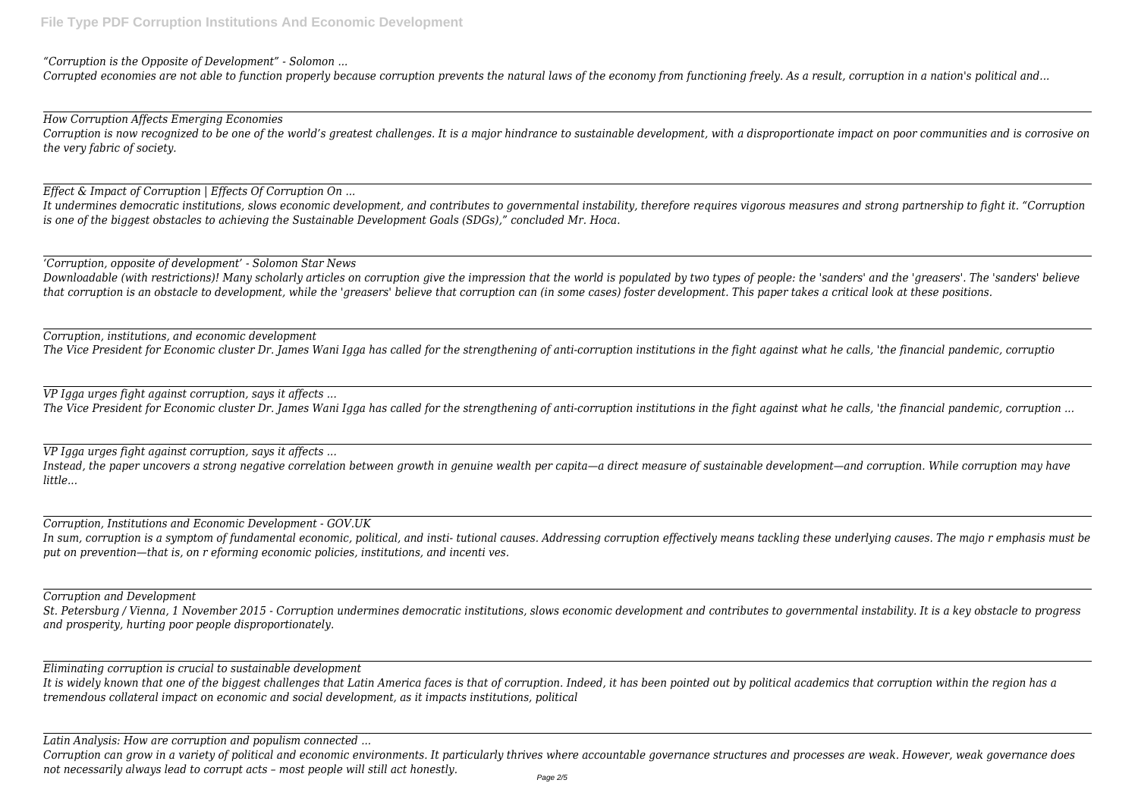*"Corruption is the Opposite of Development" - Solomon ...*

*Corrupted economies are not able to function properly because corruption prevents the natural laws of the economy from functioning freely. As a result, corruption in a nation's political and...*

*How Corruption Affects Emerging Economies Corruption is now recognized to be one of the world's greatest challenges. It is a major hindrance to sustainable development, with a disproportionate impact on poor communities and is corrosive on the very fabric of society.*

*Effect & Impact of Corruption | Effects Of Corruption On ...*

*It undermines democratic institutions, slows economic development, and contributes to governmental instability, therefore requires vigorous measures and strong partnership to fight it. "Corruption is one of the biggest obstacles to achieving the Sustainable Development Goals (SDGs)," concluded Mr. Hoca.*

*'Corruption, opposite of development' - Solomon Star News*

*Downloadable (with restrictions)! Many scholarly articles on corruption give the impression that the world is populated by two types of people: the 'sanders' and the 'greasers'. The 'sanders' believe that corruption is an obstacle to development, while the 'greasers' believe that corruption can (in some cases) foster development. This paper takes a critical look at these positions.*

*Corruption, institutions, and economic development The Vice President for Economic cluster Dr. James Wani Igga has called for the strengthening of anti-corruption institutions in the fight against what he calls, 'the financial pandemic, corruptio*

*VP Igga urges fight against corruption, says it affects ...*

*The Vice President for Economic cluster Dr. James Wani Igga has called for the strengthening of anti-corruption institutions in the fight against what he calls, 'the financial pandemic, corruption ...*

*VP Igga urges fight against corruption, says it affects ...*

*Instead, the paper uncovers a strong negative correlation between growth in genuine wealth per capita—a direct measure of sustainable development—and corruption. While corruption may have little...*

*Corruption, Institutions and Economic Development - GOV.UK*

*In sum, corruption is a symptom of fundamental economic, political, and insti- tutional causes. Addressing corruption effectively means tackling these underlying causes. The majo r emphasis must be put on prevention—that is, on r eforming economic policies, institutions, and incenti ves.*

*Corruption and Development*

*St. Petersburg / Vienna, 1 November 2015 - Corruption undermines democratic institutions, slows economic development and contributes to governmental instability. It is a key obstacle to progress and prosperity, hurting poor people disproportionately.*

*Eliminating corruption is crucial to sustainable development*

*It is widely known that one of the biggest challenges that Latin America faces is that of corruption. Indeed, it has been pointed out by political academics that corruption within the region has a tremendous collateral impact on economic and social development, as it impacts institutions, political*

*Latin Analysis: How are corruption and populism connected ...*

*Corruption can grow in a variety of political and economic environments. It particularly thrives where accountable governance structures and processes are weak. However, weak governance does not necessarily always lead to corrupt acts – most people will still act honestly.*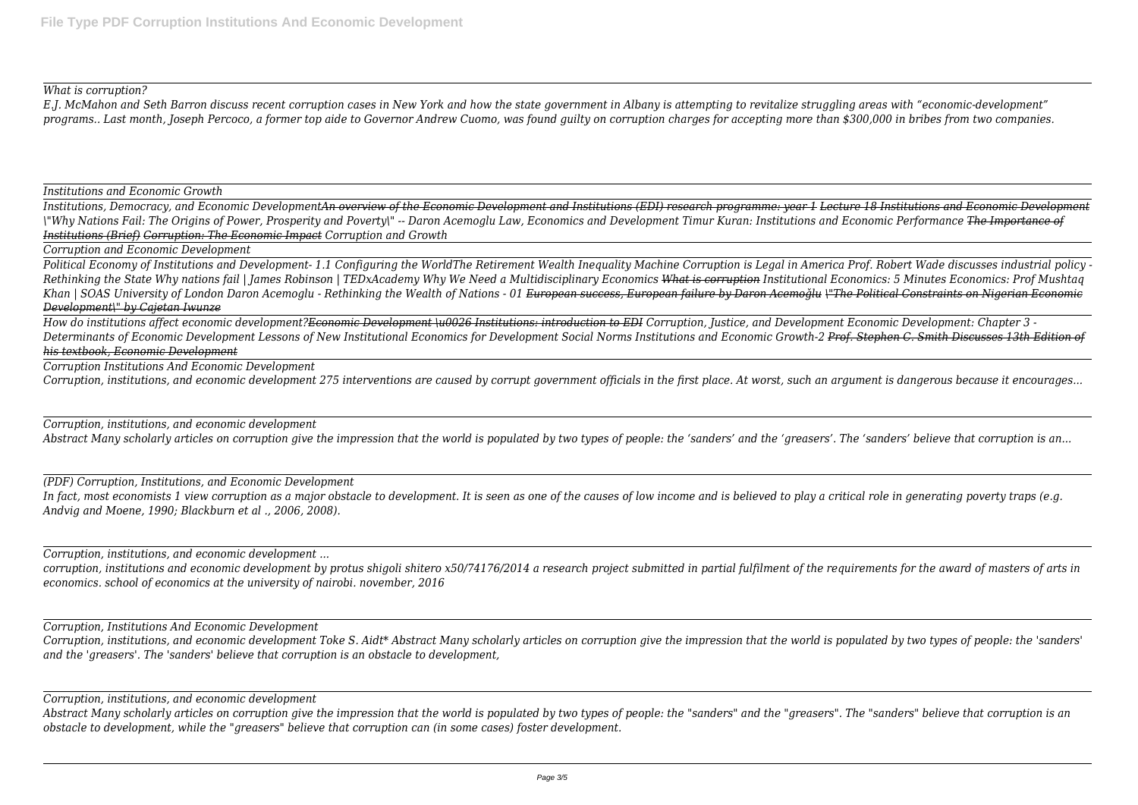## *What is corruption?*

*E.J. McMahon and Seth Barron discuss recent corruption cases in New York and how the state government in Albany is attempting to revitalize struggling areas with "economic-development" programs.. Last month, Joseph Percoco, a former top aide to Governor Andrew Cuomo, was found guilty on corruption charges for accepting more than \$300,000 in bribes from two companies.*

*Institutions and Economic Growth*

*Institutions, Democracy, and Economic DevelopmentAn overview of the Economic Development and Institutions (EDI) research programme: year 1 Lecture 18 Institutions and Economic Development \"Why Nations Fail: The Origins of Power, Prosperity and Poverty\" -- Daron Acemoglu Law, Economics and Development Timur Kuran: Institutions and Economic Performance The Importance of Institutions (Brief) Corruption: The Economic Impact Corruption and Growth* 

*Corruption and Economic Development*

*Political Economy of Institutions and Development- 1.1 Configuring the WorldThe Retirement Wealth Inequality Machine Corruption is Legal in America Prof. Robert Wade discusses industrial policy - Rethinking the State Why nations fail | James Robinson | TEDxAcademy Why We Need a Multidisciplinary Economics What is corruption Institutional Economics: 5 Minutes Economics: Prof Mushtaq Khan | SOAS University of London Daron Acemoglu - Rethinking the Wealth of Nations - 01 European success, European failure by Daron Acemoǧlu \"The Political Constraints on Nigerian Economic Development\" by Cajetan Iwunze*

*How do institutions affect economic development?Economic Development \u0026 Institutions: introduction to EDI Corruption, Justice, and Development Economic Development: Chapter 3 - Determinants of Economic Development Lessons of New Institutional Economics for Development Social Norms Institutions and Economic Growth-2 Prof. Stephen C. Smith Discusses 13th Edition of his textbook, Economic Development*

*Corruption Institutions And Economic Development*

*Corruption, institutions, and economic development 275 interventions are caused by corrupt government officials in the first place. At worst, such an argument is dangerous because it encourages...*

*Corruption, institutions, and economic development*

*Abstract Many scholarly articles on corruption give the impression that the world is populated by two types of people: the 'sanders' and the 'greasers'. The 'sanders' believe that corruption is an...*

*(PDF) Corruption, Institutions, and Economic Development In fact, most economists 1 view corruption as a major obstacle to development. It is seen as one of the causes of low income and is believed to play a critical role in generating poverty traps (e.g. Andvig and Moene, 1990; Blackburn et al ., 2006, 2008).*

*Corruption, institutions, and economic development ...*

*corruption, institutions and economic development by protus shigoli shitero x50/74176/2014 a research project submitted in partial fulfilment of the requirements for the award of masters of arts in economics. school of economics at the university of nairobi. november, 2016*

*Corruption, Institutions And Economic Development*

*Corruption, institutions, and economic development Toke S. Aidt\* Abstract Many scholarly articles on corruption give the impression that the world is populated by two types of people: the 'sanders' and the 'greasers'. The 'sanders' believe that corruption is an obstacle to development,*

*Corruption, institutions, and economic development*

*Abstract Many scholarly articles on corruption give the impression that the world is populated by two types of people: the "sanders" and the "greasers". The "sanders" believe that corruption is an obstacle to development, while the "greasers" believe that corruption can (in some cases) foster development.*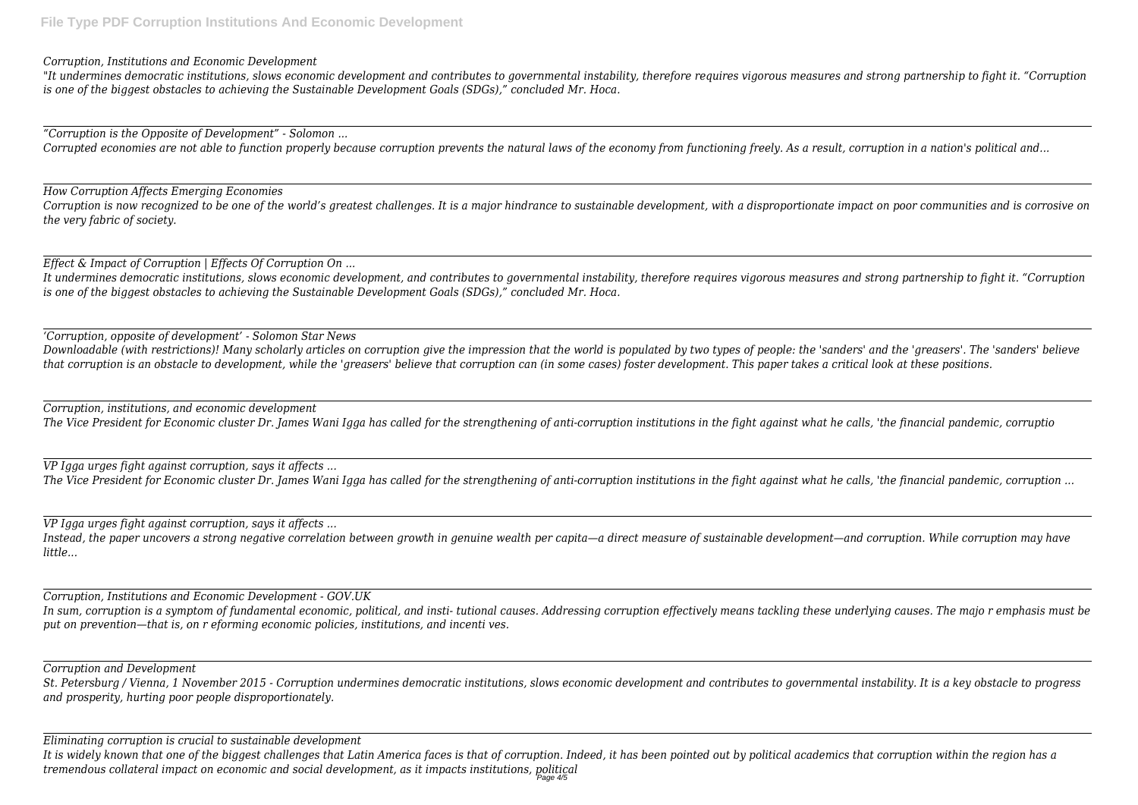*Corruption, Institutions and Economic Development*

*"It undermines democratic institutions, slows economic development and contributes to governmental instability, therefore requires vigorous measures and strong partnership to fight it. "Corruption is one of the biggest obstacles to achieving the Sustainable Development Goals (SDGs)," concluded Mr. Hoca.*

*"Corruption is the Opposite of Development" - Solomon ...*

*Corrupted economies are not able to function properly because corruption prevents the natural laws of the economy from functioning freely. As a result, corruption in a nation's political and...*

*How Corruption Affects Emerging Economies*

*Corruption is now recognized to be one of the world's greatest challenges. It is a major hindrance to sustainable development, with a disproportionate impact on poor communities and is corrosive on the very fabric of society.*

*Effect & Impact of Corruption | Effects Of Corruption On ...*

*It undermines democratic institutions, slows economic development, and contributes to governmental instability, therefore requires vigorous measures and strong partnership to fight it. "Corruption is one of the biggest obstacles to achieving the Sustainable Development Goals (SDGs)," concluded Mr. Hoca.*

*'Corruption, opposite of development' - Solomon Star News*

*Downloadable (with restrictions)! Many scholarly articles on corruption give the impression that the world is populated by two types of people: the 'sanders' and the 'greasers'. The 'sanders' believe that corruption is an obstacle to development, while the 'greasers' believe that corruption can (in some cases) foster development. This paper takes a critical look at these positions.*

*Corruption, institutions, and economic development The Vice President for Economic cluster Dr. James Wani Igga has called for the strengthening of anti-corruption institutions in the fight against what he calls, 'the financial pandemic, corruptio*

*VP Igga urges fight against corruption, says it affects ... The Vice President for Economic cluster Dr. James Wani Igga has called for the strengthening of anti-corruption institutions in the fight against what he calls, 'the financial pandemic, corruption ...*

*VP Igga urges fight against corruption, says it affects ... Instead, the paper uncovers a strong negative correlation between growth in genuine wealth per capita—a direct measure of sustainable development—and corruption. While corruption may have little...*

*Corruption, Institutions and Economic Development - GOV.UK In sum, corruption is a symptom of fundamental economic, political, and insti- tutional causes. Addressing corruption effectively means tackling these underlying causes. The majo r emphasis must be put on prevention—that is, on r eforming economic policies, institutions, and incenti ves.*

*Corruption and Development*

*St. Petersburg / Vienna, 1 November 2015 - Corruption undermines democratic institutions, slows economic development and contributes to governmental instability. It is a key obstacle to progress and prosperity, hurting poor people disproportionately.*

*Eliminating corruption is crucial to sustainable development*

*It is widely known that one of the biggest challenges that Latin America faces is that of corruption. Indeed, it has been pointed out by political academics that corruption within the region has a tremendous collateral impact on economic and social development, as it impacts institutions, political* Page 4/5